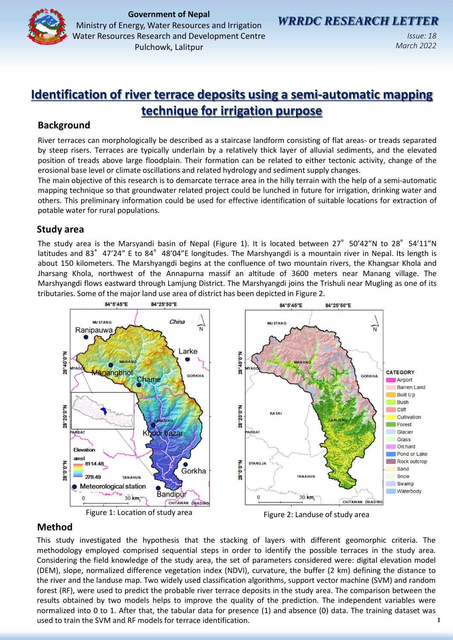

**Government of Nepal**<br>**GOVERNMENT DOCUSSOR ON UNISTICAL WRRDC RESEARCH LETTER** Ministry of Energy, Water Resources and Irrigation Water Resources Research and Development Centre Pulchowk, Lalitpur

# **Identification of river terrace deposits using a semi-automatic mapping technique for irrigation purpose**

## **Background**

River terraces can morphologically be described as a staircase landform consisting of flat areas- or treads separated by steep risers. Terraces are typically underlain by a relatively thick layer of alluvial sediments, and the elevated position of treads above large floodplain. Their formation can be related to either tectonic activity, change of the erosional base level or climate oscillations and related hydrology and sediment supply changes.

The main objective of this research is to demarcate terrace area in the hilly terrain with the help of a semi-automatic mapping technique so that groundwater related project could be lunched in future for irrigation, drinking water and others. This preliminary information could be used for effective identification of suitable locations for extraction of potable water for rural populations.

### **Study area**

The study area is the Marsyandi basin of Nepal (Figure 1). It is located between 27° 50'42"N to 28° 54'11"N latitudes and 83° 47'24" E to 84° 48'04"E longitudes. The Marshyangdi is a mountain river in Nepal. Its length is about 150 kilometers. The Marshyangdi begins at the confluence of two mountain rivers, the Khangsar Khola and Jharsang Khola, northwest of the Annapurna massif an altitude of 3600 meters near Manang village. The Marshyangdi flows eastward through Lamjung District. The Marshyangdi joins the Trishuli near Mugling as one of its tributaries. Some of the major land use area of district has been depicted in Figure 2.



#### **Method**

This study investigated the hypothesis that the stacking of layers with different geomorphic criteria. The methodology employed comprised sequential steps in order to identify the possible terraces in the study area. Considering the field knowledge of the study area, the set of parameters considered were: digital elevation model (DEM), slope, normalized difference vegetation index (NDVI), curvature, the buffer (2 km) defining the distance to the river and the landuse map. Two widely used classification algorithms, support vector machine (SVM) and random forest (RF), were used to predict the probable river terrace deposits in the study area. The comparison between the results obtained by two models helps to improve the quality of the prediction. The independent variables were normalized into 0 to 1. After that, the tabular data for presence (1) and absence (0) data. The training dataset was used to train the SVM and RF models for terrace identification.